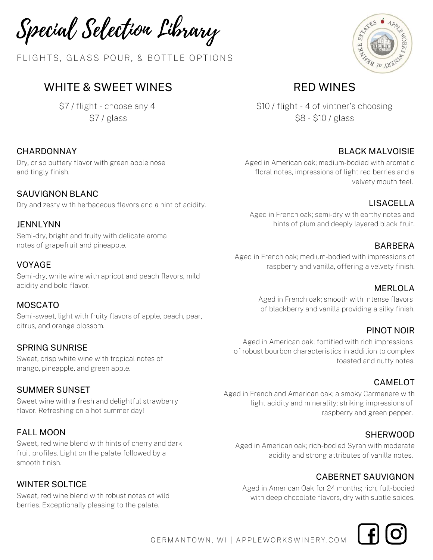Special Selection Library

FLIGHTS, GLASS POUR, & BOTTLE OPTIONS

# WHITE & SWEET WINES

\$7 / flight - choose any 4 \$7 / glass

### **CHARDONNAY**

Dry, crisp buttery flavor with green apple nose and tingly finish.

SAUVIGNON BLANC Dry and zesty with herbaceous flavors and a hint of acidity.

#### JENNLYNN

Semi-dry, bright and fruity with delicate aroma notes of grapefruit and pineapple.

#### VOYAGE

Semi-dry, white wine with apricot and peach flavors, mild acidity and bold flavor.

#### MOSCATO

Semi-sweet, light with fruity flavors of apple, peach, pear, citrus, and orange blossom.

#### SPRING SUNRISE

Sweet, crisp white wine with tropical notes of mango, pineapple, and green apple.

#### SUMMER SUNSET

Sweet wine with a fresh and delightful strawberry flavor. Refreshing on a hot summer day!

#### FALL MOON

Sweet, red wine blend with hints of cherry and dark fruit profiles. Light on the palate followed by a smooth finish.

#### WINTER SOLTICE

Sweet, red wine blend with robust notes of wild berries. Exceptionally pleasing to the palate.



# RED WINES

\$10 / flight - 4 of vintner's choosing \$8 - \$10 / glass

#### BLACK MALVOISIE

Aged in American oak; medium-bodied with aromatic floral notes, impressions of light red berries and a velvety mouth feel.

### LISACELLA

Aged in French oak; semi-dry with earthy notes and hints of plum and deeply layered black fruit.

#### BARBERA

Aged in French oak; medium-bodied with impressions of raspberry and vanilla, offering a velvety finish.

#### MERLOLA

Aged in French oak; smooth with intense flavors of blackberry and vanilla providing a silky finish.

#### PINOT NOIR

Aged in American oak; fortified with rich impressions of robust bourbon characteristics in addition to complex toasted and nutty notes.

#### CAMELOT

Aged in French and American oak; a smoky Carmenere with light acidity and minerality; striking impressions of raspberry and green pepper.

#### **SHERWOOD**

Aged in American oak; rich-bodied Syrah with moderate acidity and strong attributes of vanilla notes.

#### CABERNET SAUVIGNON

Aged in American Oak for 24 months; rich, full-bodied with deep chocolate flavors, dry with subtle spices.